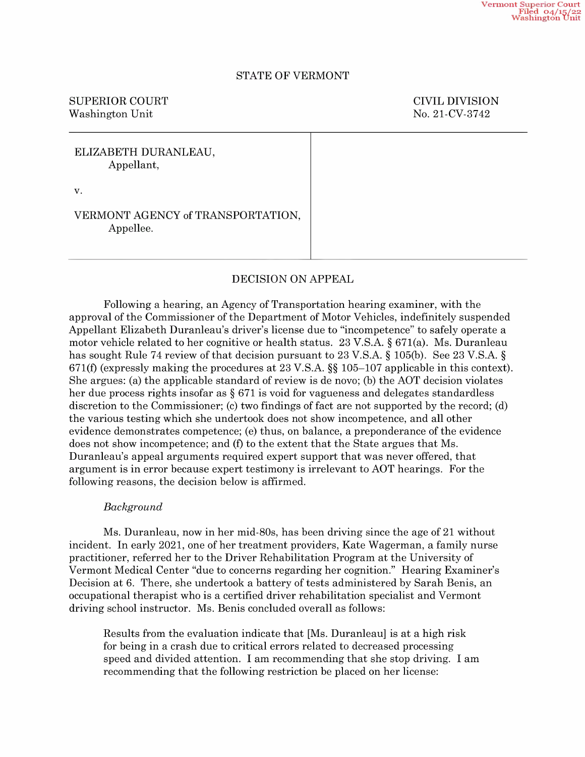## STATE OF VERMONT

# SUPERIOR COURT COURT COURT COURT Washington Unit No. 21-CV-3742

# ELIZABETH DURANLEAU, Appellant,

V.

# VERMONT AGENCY of TRANSPORTATION, Appellee.

# DECISION ON APPEAL

Following a hearing, an Agency of Transportation hearing examiner, with the approval of the Commissioner of the Department of Motor Vehicles, indefinitely suspended Appellant Elizabeth Duranleau's driver's license due to "incompetence" to safely operate motor vehicle related to her cognitive or health status. 23 V.S.A. § 671(a). Ms. Duranleau has sought Rule 74 review of that decision pursuant to 23 V.S.A.  $\S$  105(b). See 23 V.S.A.  $\S$ 671(f) (expressly making the procedures at 23 V.S.A. §§ 105—107 applicable in this context). She argues: (a) the applicable standard of review is de novo; (b) the AOT decision violates her due process rights insofar as  $\S 671$  is void for vagueness and delegates standardless discretion to the Commissioner; (c) two findings of fact are not supported by the record; (d) the various testing which she undertook does not show incompetence, and all other evidence demonstrates competence; (e) thus, on balance, a preponderance of the evidence does not show incompetence; and (f) to the extent that the State argues that Ms. Duranleau's appeal arguments required expert support that was never offered, that argument is in error because expert testimony is irrelevant to AOT hearings. For the following reasons, the decision below is affirmed.

## Background

Ms. Duranleau, now in her mid-80s, has been driving since the age of <sup>21</sup> without incident. In early 2021, one of her treatment providers, Kate Wagerman, a family nurse practitioner, referred her to the Driver Rehabilitation Program at the University of Vermont Medical Center "due to concerns regarding her cognition." Hearing Examiner's Decision at 6. There, she undertook a battery of tests administered by Sarah Benis, an occupational therapist who is certified driver rehabilitation specialist and Vermont driving school instructor. Ms. Benis concluded overall as follows:

Results from the evaluation indicate that [Ms. Duranleau] is at a high risk for being in a crash due to critical errors related to decreased processing speed and divided attention. I am recommending that she stop driving. I am recommending that the following restriction be placed on her license: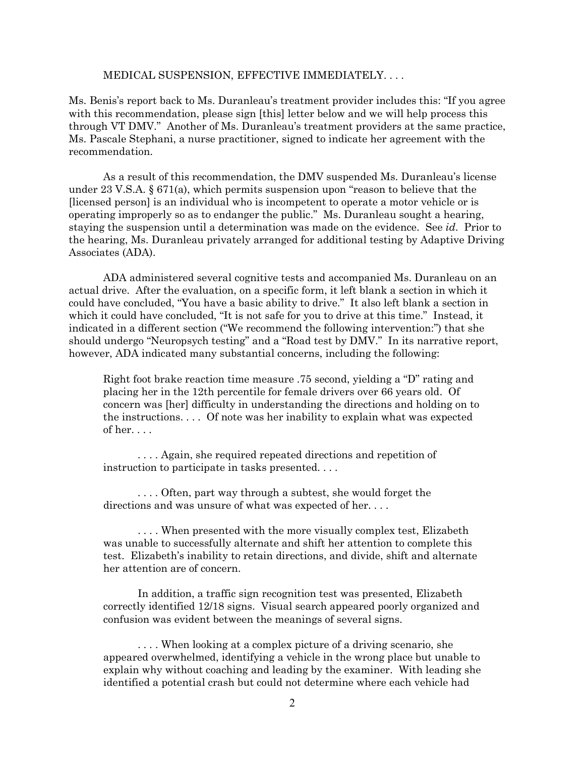## MEDICAL SUSPENSION, EFFECTIVE IMMEDIATELY. . . .

Ms. Benis's report back to Ms. Duranleau's treatment provider includes this: "If you agree with this recommendation, please sign [this] letter below and we will help process this through VT DMV." Another of Ms. Duranleau's treatment providers at the same practice, Ms. Pascale Stephani, a nurse practitioner, signed to indicate her agreement with the recommendation.

As a result of this recommendation, the DMV suspended Ms. Duranleau's license under 23 V.S.A. § 671(a), which permits suspension upon "reason to believe that the [licensed person] is an individual who is incompetent to operate a motor vehicle or is operating improperly so as to endanger the public." Ms. Duranleau sought a hearing, staying the suspension until a determination was made on the evidence. See *id*. Prior to the hearing, Ms. Duranleau privately arranged for additional testing by Adaptive Driving Associates (ADA).

ADA administered several cognitive tests and accompanied Ms. Duranleau on an actual drive. After the evaluation, on a specific form, it left blank a section in which it could have concluded, "You have a basic ability to drive." It also left blank a section in which it could have concluded, "It is not safe for you to drive at this time." Instead, it indicated in a different section ("We recommend the following intervention:") that she should undergo "Neuropsych testing" and a "Road test by DMV." In its narrative report, however, ADA indicated many substantial concerns, including the following:

Right foot brake reaction time measure .75 second, yielding a "D" rating and placing her in the 12th percentile for female drivers over 66 years old. Of concern was [her] difficulty in understanding the directions and holding on to the instructions. . . . Of note was her inability to explain what was expected of her. . . .

. . . . Again, she required repeated directions and repetition of instruction to participate in tasks presented. . . .

. . . . Often, part way through a subtest, she would forget the directions and was unsure of what was expected of her....

. . . . When presented with the more visually complex test, Elizabeth was unable to successfully alternate and shift her attention to complete this test. Elizabeth's inability to retain directions, and divide, shift and alternate her attention are of concern.

In addition, a traffic sign recognition test was presented, Elizabeth correctly identified 12/18 signs. Visual search appeared poorly organized and confusion was evident between the meanings of several signs.

. . . . When looking at a complex picture of a driving scenario, she appeared overwhelmed, identifying a vehicle in the wrong place but unable to explain why without coaching and leading by the examiner. With leading she identified a potential crash but could not determine where each vehicle had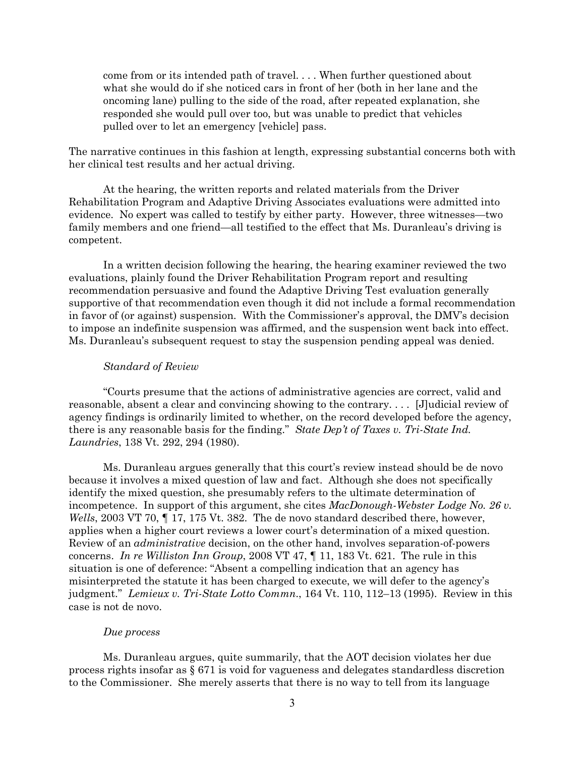come from or its intended path of travel. . . . When further questioned about what she would do if she noticed cars in front of her (both in her lane and the oncoming lane) pulling to the side of the road, after repeated explanation, she responded she would pull over too, but was unable to predict that vehicles pulled over to let an emergency [vehicle] pass.

The narrative continues in this fashion at length, expressing substantial concerns both with her clinical test results and her actual driving.

At the hearing, the written reports and related materials from the Driver Rehabilitation Program and Adaptive Driving Associates evaluations were admitted into evidence. No expert was called to testify by either party. However, three witnesses—two family members and one friend—all testified to the effect that Ms. Duranleau's driving is competent.

In a written decision following the hearing, the hearing examiner reviewed the two evaluations, plainly found the Driver Rehabilitation Program report and resulting recommendation persuasive and found the Adaptive Driving Test evaluation generally supportive of that recommendation even though it did not include a formal recommendation in favor of (or against) suspension. With the Commissioner's approval, the DMV's decision to impose an indefinite suspension was affirmed, and the suspension went back into effect. Ms. Duranleau's subsequent request to stay the suspension pending appeal was denied.

#### *Standard of Review*

"Courts presume that the actions of administrative agencies are correct, valid and reasonable, absent a clear and convincing showing to the contrary. . . . [J]udicial review of agency findings is ordinarily limited to whether, on the record developed before the agency, there is any reasonable basis for the finding." *State Dep't of Taxes v. Tri-State Ind. Laundries*, 138 Vt. 292, 294 (1980).

Ms. Duranleau argues generally that this court's review instead should be de novo because it involves a mixed question of law and fact. Although she does not specifically identify the mixed question, she presumably refers to the ultimate determination of incompetence. In support of this argument, she cites *MacDonough-Webster Lodge No. 26 v. Wells*, 2003 VT 70, 17, 175 Vt. 382. The de novo standard described there, however, applies when a higher court reviews a lower court's determination of a mixed question. Review of an *administrative* decision, on the other hand, involves separation-of-powers concerns. *In re Williston Inn Group*, 2008 VT 47, ¶ 11, 183 Vt. 621. The rule in this situation is one of deference: "Absent a compelling indication that an agency has misinterpreted the statute it has been charged to execute, we will defer to the agency's judgment." *Lemieux v. Tri-State Lotto Commn*., 164 Vt. 110, 112–13 (1995). Review in this case is not de novo.

### *Due process*

Ms. Duranleau argues, quite summarily, that the AOT decision violates her due process rights insofar as § 671 is void for vagueness and delegates standardless discretion to the Commissioner. She merely asserts that there is no way to tell from its language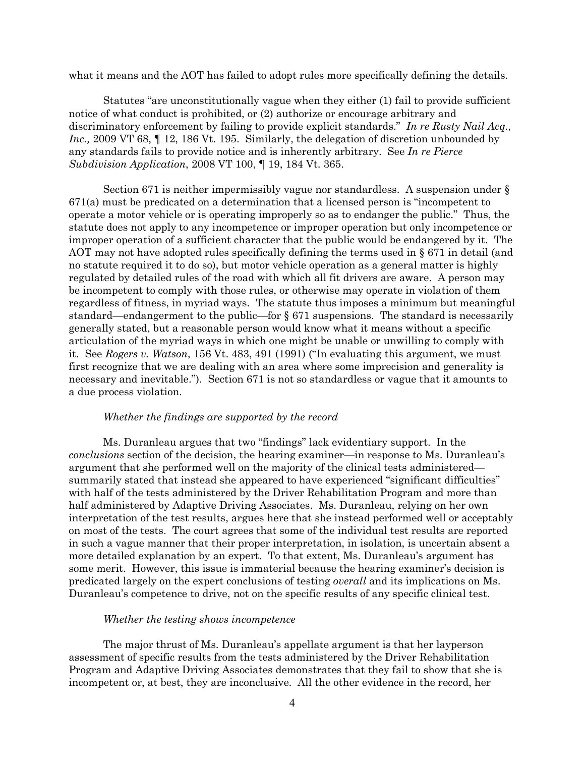what it means and the AOT has failed to adopt rules more specifically defining the details.

Statutes "are unconstitutionally vague when they either (1) fail to provide sufficient notice of what conduct is prohibited, or (2) authorize or encourage arbitrary and discriminatory enforcement by failing to provide explicit standards." *In re Rusty Nail Acq., Inc.*, 2009 VT 68,  $\parallel$  12, 186 Vt. 195. Similarly, the delegation of discretion unbounded by any standards fails to provide notice and is inherently arbitrary. See *In re Pierce Subdivision Application*, 2008 VT 100, ¶ 19, 184 Vt. 365.

Section 671 is neither impermissibly vague nor standardless. A suspension under § 671(a) must be predicated on a determination that a licensed person is "incompetent to operate a motor vehicle or is operating improperly so as to endanger the public." Thus, the statute does not apply to any incompetence or improper operation but only incompetence or improper operation of a sufficient character that the public would be endangered by it. The AOT may not have adopted rules specifically defining the terms used in  $\S 671$  in detail (and no statute required it to do so), but motor vehicle operation as a general matter is highly regulated by detailed rules of the road with which all fit drivers are aware. A person may be incompetent to comply with those rules, or otherwise may operate in violation of them regardless of fitness, in myriad ways. The statute thus imposes a minimum but meaningful standard—endangerment to the public—for § 671 suspensions. The standard is necessarily generally stated, but a reasonable person would know what it means without a specific articulation of the myriad ways in which one might be unable or unwilling to comply with it. See *Rogers v. Watson*, 156 Vt. 483, 491 (1991) ("In evaluating this argument, we must first recognize that we are dealing with an area where some imprecision and generality is necessary and inevitable."). Section 671 is not so standardless or vague that it amounts to a due process violation.

## *Whether the findings are supported by the record*

Ms. Duranleau argues that two "findings" lack evidentiary support. In the *conclusions* section of the decision, the hearing examiner—in response to Ms. Duranleau's argument that she performed well on the majority of the clinical tests administered summarily stated that instead she appeared to have experienced "significant difficulties" with half of the tests administered by the Driver Rehabilitation Program and more than half administered by Adaptive Driving Associates. Ms. Duranleau, relying on her own interpretation of the test results, argues here that she instead performed well or acceptably on most of the tests. The court agrees that some of the individual test results are reported in such a vague manner that their proper interpretation, in isolation, is uncertain absent a more detailed explanation by an expert. To that extent, Ms. Duranleau's argument has some merit. However, this issue is immaterial because the hearing examiner's decision is predicated largely on the expert conclusions of testing *overall* and its implications on Ms. Duranleau's competence to drive, not on the specific results of any specific clinical test.

#### *Whether the testing shows incompetence*

The major thrust of Ms. Duranleau's appellate argument is that her layperson assessment of specific results from the tests administered by the Driver Rehabilitation Program and Adaptive Driving Associates demonstrates that they fail to show that she is incompetent or, at best, they are inconclusive. All the other evidence in the record, her